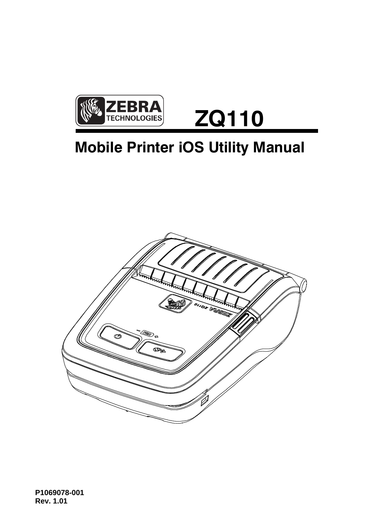

# **Mobile Printer iOS Utility Manual**



**P1069078-001 Rev. 1.01**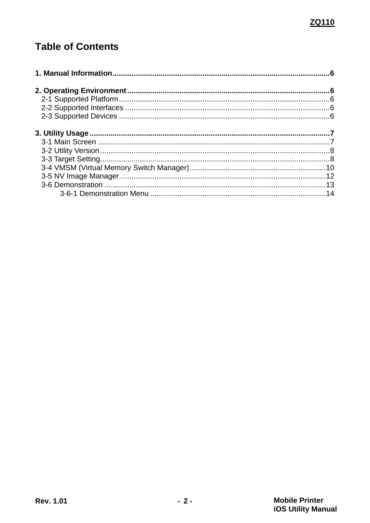# **Table of Contents**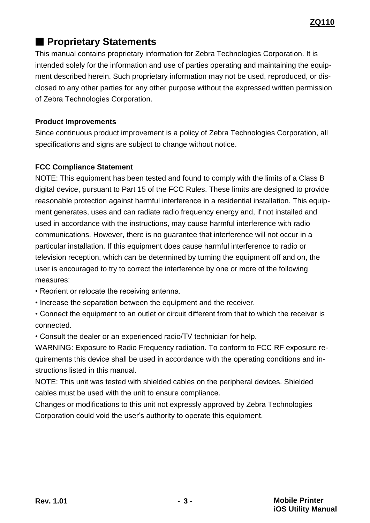# ■ **Proprietary Statements**

This manual contains proprietary information for Zebra Technologies Corporation. It is intended solely for the information and use of parties operating and maintaining the equipment described herein. Such proprietary information may not be used, reproduced, or disclosed to any other parties for any other purpose without the expressed written permission of Zebra Technologies Corporation.

#### **Product Improvements**

Since continuous product improvement is a policy of Zebra Technologies Corporation, all specifications and signs are subject to change without notice.

### **FCC Compliance Statement**

NOTE: This equipment has been tested and found to comply with the limits of a Class B digital device, pursuant to Part 15 of the FCC Rules. These limits are designed to provide reasonable protection against harmful interference in a residential installation. This equipment generates, uses and can radiate radio frequency energy and, if not installed and used in accordance with the instructions, may cause harmful interference with radio communications. However, there is no guarantee that interference will not occur in a particular installation. If this equipment does cause harmful interference to radio or television reception, which can be determined by turning the equipment off and on, the user is encouraged to try to correct the interference by one or more of the following measures:

- Reorient or relocate the receiving antenna.
- Increase the separation between the equipment and the receiver.
- Connect the equipment to an outlet or circuit different from that to which the receiver is connected.
- Consult the dealer or an experienced radio/TV technician for help.

WARNING: Exposure to Radio Frequency radiation. To conform to FCC RF exposure requirements this device shall be used in accordance with the operating conditions and instructions listed in this manual.

NOTE: This unit was tested with shielded cables on the peripheral devices. Shielded cables must be used with the unit to ensure compliance.

Changes or modifications to this unit not expressly approved by Zebra Technologies Corporation could void the user's authority to operate this equipment.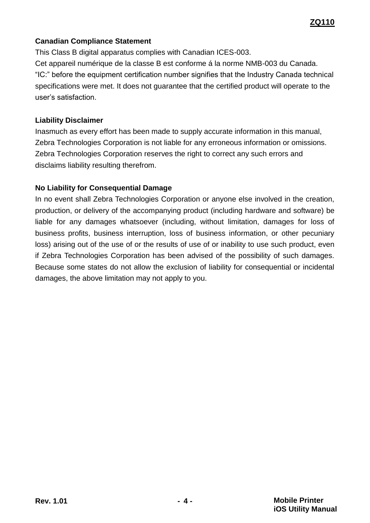#### **Canadian Compliance Statement**

This Class B digital apparatus complies with Canadian ICES-003. Cet appareil numérique de la classe B est conforme á la norme NMB-003 du Canada. "IC:" before the equipment certification number signifies that the Industry Canada technical specifications were met. It does not guarantee that the certified product will operate to the user's satisfaction.

#### **Liability Disclaimer**

Inasmuch as every effort has been made to supply accurate information in this manual, Zebra Technologies Corporation is not liable for any erroneous information or omissions. Zebra Technologies Corporation reserves the right to correct any such errors and disclaims liability resulting therefrom.

#### **No Liability for Consequential Damage**

In no event shall Zebra Technologies Corporation or anyone else involved in the creation, production, or delivery of the accompanying product (including hardware and software) be liable for any damages whatsoever (including, without limitation, damages for loss of business profits, business interruption, loss of business information, or other pecuniary loss) arising out of the use of or the results of use of or inability to use such product, even if Zebra Technologies Corporation has been advised of the possibility of such damages. Because some states do not allow the exclusion of liability for consequential or incidental damages, the above limitation may not apply to you.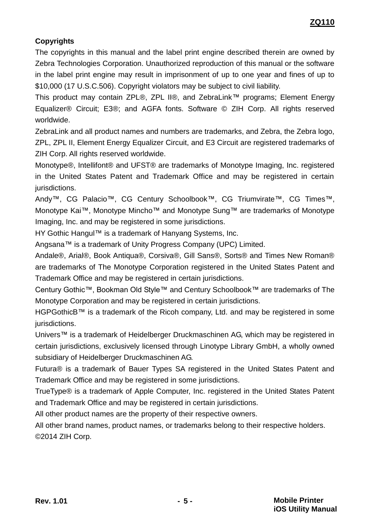#### **Copyrights**

The copyrights in this manual and the label print engine described therein are owned by Zebra Technologies Corporation. Unauthorized reproduction of this manual or the software in the label print engine may result in imprisonment of up to one year and fines of up to \$10,000 (17 U.S.C.506). Copyright violators may be subject to civil liability.

This product may contain ZPL®, ZPL II®, and ZebraLink™ programs; Element Energy Equalizer® Circuit; E3®; and AGFA fonts. Software © ZIH Corp. All rights reserved worldwide.

ZebraLink and all product names and numbers are trademarks, and Zebra, the Zebra logo, ZPL, ZPL II, Element Energy Equalizer Circuit, and E3 Circuit are registered trademarks of ZIH Corp. All rights reserved worldwide.

Monotype®, Intellifont® and UFST® are trademarks of Monotype Imaging, Inc. registered in the United States Patent and Trademark Office and may be registered in certain jurisdictions.

Andy™, CG Palacio™, CG Century Schoolbook™, CG Triumvirate™, CG Times™, Monotype Kai™, Monotype Mincho™ and Monotype Sung™ are trademarks of Monotype Imaging, Inc. and may be registered in some jurisdictions.

HY Gothic Hangul™ is a trademark of Hanyang Systems, Inc.

Angsana™ is a trademark of Unity Progress Company (UPC) Limited.

Andale®, Arial®, Book Antiqua®, Corsiva®, Gill Sans®, Sorts® and Times New Roman® are trademarks of The Monotype Corporation registered in the United States Patent and Trademark Office and may be registered in certain jurisdictions.

Century Gothic™, Bookman Old Style™ and Century Schoolbook™ are trademarks of The Monotype Corporation and may be registered in certain jurisdictions.

HGPGothicB™ is a trademark of the Ricoh company, Ltd. and may be registered in some jurisdictions.

Univers™ is a trademark of Heidelberger Druckmaschinen AG, which may be registered in certain jurisdictions, exclusively licensed through Linotype Library GmbH, a wholly owned subsidiary of Heidelberger Druckmaschinen AG.

Futura® is a trademark of Bauer Types SA registered in the United States Patent and Trademark Office and may be registered in some jurisdictions.

TrueType® is a trademark of Apple Computer, Inc. registered in the United States Patent and Trademark Office and may be registered in certain jurisdictions.

All other product names are the property of their respective owners.

All other brand names, product names, or trademarks belong to their respective holders. ©2014 ZIH Corp.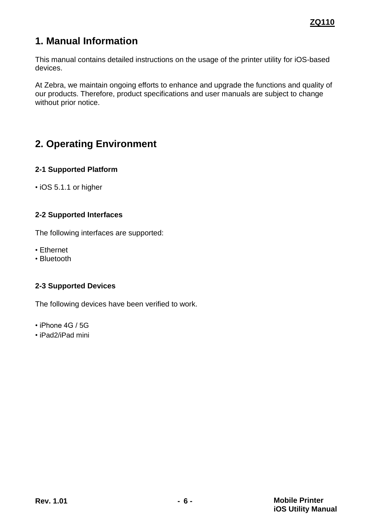# <span id="page-5-0"></span>**1. Manual Information**

This manual contains detailed instructions on the usage of the printer utility for iOS-based devices.

At Zebra, we maintain ongoing efforts to enhance and upgrade the functions and quality of our products. Therefore, product specifications and user manuals are subject to change without prior notice.

# <span id="page-5-1"></span>**2. Operating Environment**

#### <span id="page-5-2"></span>**2-1 Supported Platform**

• iOS 5.1.1 or higher

#### <span id="page-5-3"></span>**2-2 Supported Interfaces**

The following interfaces are supported:

- Ethernet
- Bluetooth

#### <span id="page-5-4"></span>**2-3 Supported Devices**

The following devices have been verified to work.

- iPhone 4G / 5G
- iPad2/iPad mini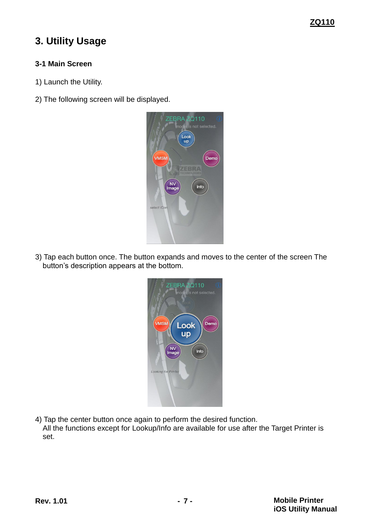#### **ZQ110**

## <span id="page-6-0"></span>**3. Utility Usage**

#### <span id="page-6-1"></span>**3-1 Main Screen**

- 1) Launch the Utility.
- 2) The following screen will be displayed.

|             | ZEBRA ZQ110<br>model is not selected.<br>Look<br>up |
|-------------|-----------------------------------------------------|
| <b>VMSM</b> | Demo<br>ZEBRA<br><b>IOLOGICA</b>                    |
| NV<br>Image | Info                                                |
| select iCon |                                                     |

3) Tap each button once. The button expands and moves to the center of the screen The button's description appears at the bottom.

| ZEBRA ZQ110<br>model is not selected. |
|---------------------------------------|
| <b>VMSM</b><br>Demo<br>Look<br>up     |
| NV<br>Image<br>Info                   |
| <b>Looking for Printer</b>            |

4) Tap the center button once again to perform the desired function.

All the functions except for Lookup/Info are available for use after the Target Printer is set.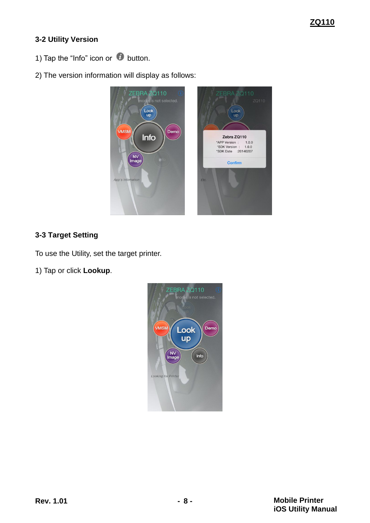### <span id="page-7-0"></span>**3-2 Utility Version**

- 1) Tap the "Info" icon or  $\bullet$  button.
- 2) The version information will display as follows:



#### <span id="page-7-1"></span>**3-3 Target Setting**

To use the Utility, set the target printer.

1) Tap or click **Lookup**.

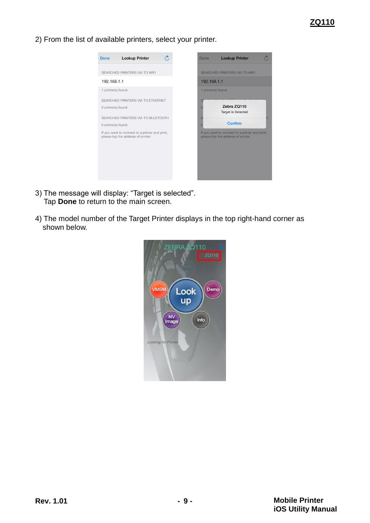2) From the list of available printers, select your printer.



- 3) The message will display: "Target is selected". Tap **Done** to return to the main screen.
- 4) The model number of the Target Printer displays in the top right-hand corner as shown below.

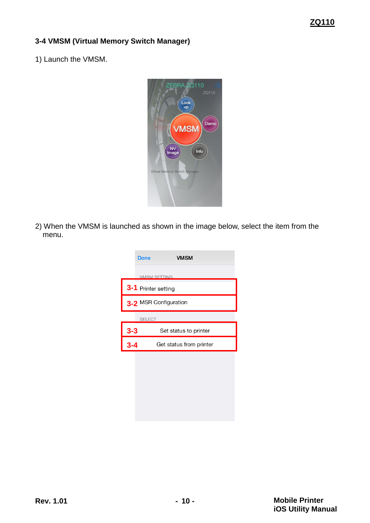#### <span id="page-9-0"></span>**3-4 VMSM (Virtual Memory Switch Manager)**

1) Launch the VMSM.



2) When the VMSM is launched as shown in the image below, select the item from the menu.

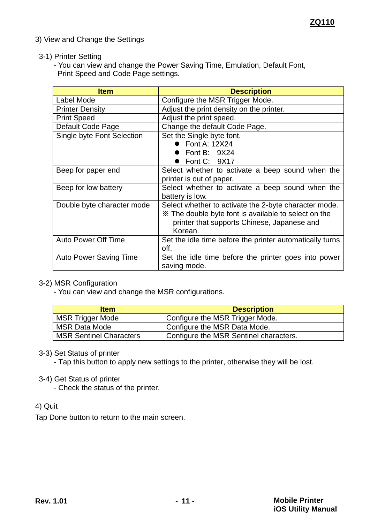3) View and Change the Settings

#### 3-1) Printer Setting

- You can view and change the Power Saving Time, Emulation, Default Font, Print Speed and Code Page settings.

| <b>Item</b>                   | <b>Description</b>                                       |  |  |  |
|-------------------------------|----------------------------------------------------------|--|--|--|
| Label Mode                    | Configure the MSR Trigger Mode.                          |  |  |  |
| <b>Printer Density</b>        | Adjust the print density on the printer.                 |  |  |  |
| <b>Print Speed</b>            | Adjust the print speed.                                  |  |  |  |
| Default Code Page             | Change the default Code Page.                            |  |  |  |
| Single byte Font Selection    | Set the Single byte font.                                |  |  |  |
|                               | $\bullet$ Font A: 12X24                                  |  |  |  |
|                               | Font B: $9X24$                                           |  |  |  |
|                               | Font C: 9X17                                             |  |  |  |
| Beep for paper end            | Select whether to activate a beep sound when the         |  |  |  |
|                               | printer is out of paper.                                 |  |  |  |
| Beep for low battery          | Select whether to activate a beep sound when the         |  |  |  |
|                               | battery is low.                                          |  |  |  |
| Double byte character mode    | Select whether to activate the 2-byte character mode.    |  |  |  |
|                               | ** The double byte font is available to select on the    |  |  |  |
|                               | printer that supports Chinese, Japanese and              |  |  |  |
|                               | Korean.                                                  |  |  |  |
| <b>Auto Power Off Time</b>    | Set the idle time before the printer automatically turns |  |  |  |
|                               | off.                                                     |  |  |  |
| <b>Auto Power Saving Time</b> | Set the idle time before the printer goes into power     |  |  |  |
|                               | saving mode.                                             |  |  |  |

#### 3-2) MSR Configuration

- You can view and change the MSR configurations.

| <b>Item</b>                    | <b>Description</b>                     |
|--------------------------------|----------------------------------------|
| <b>MSR Trigger Mode</b>        | Configure the MSR Trigger Mode.        |
| <b>MSR Data Mode</b>           | Configure the MSR Data Mode.           |
| <b>MSR Sentinel Characters</b> | Configure the MSR Sentinel characters. |

#### 3-3) Set Status of printer

- Tap this button to apply new settings to the printer, otherwise they will be lost.

#### 3-4) Get Status of printer

- Check the status of the printer.

#### 4) Quit

Tap Done button to return to the main screen.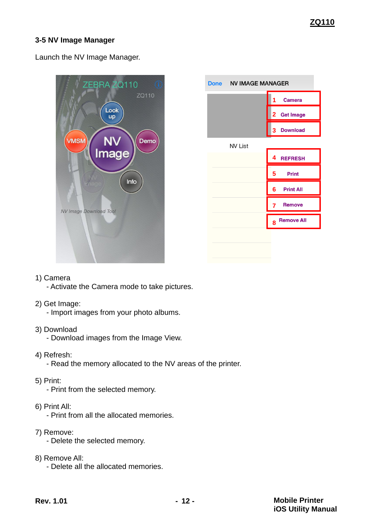#### <span id="page-11-0"></span>**3-5 NV Image Manager**

Launch the NV Image Manager.



| Done NV IMAGE MANAGER |                        |  |  |  |
|-----------------------|------------------------|--|--|--|
|                       | <b>Camera</b><br>1     |  |  |  |
|                       | 2 Get Image            |  |  |  |
|                       | <b>Download</b><br>3   |  |  |  |
| <b>NV List</b>        |                        |  |  |  |
|                       | 4<br><b>REFRESH</b>    |  |  |  |
|                       | <b>Print</b><br>5      |  |  |  |
|                       | <b>Print All</b><br>6  |  |  |  |
|                       | <b>Remove</b><br>7     |  |  |  |
|                       | <b>Remove All</b><br>8 |  |  |  |
|                       |                        |  |  |  |
|                       |                        |  |  |  |

- 1) Camera
	- Activate the Camera mode to take pictures.
- 2) Get Image:
	- Import images from your photo albums.
- 3) Download
	- Download images from the Image View.
- 4) Refresh:
	- Read the memory allocated to the NV areas of the printer.
- 5) Print:
	- Print from the selected memory.
- 6) Print All:
	- Print from all the allocated memories.
- 7) Remove:
	- Delete the selected memory.
- 8) Remove All:
	- Delete all the allocated memories.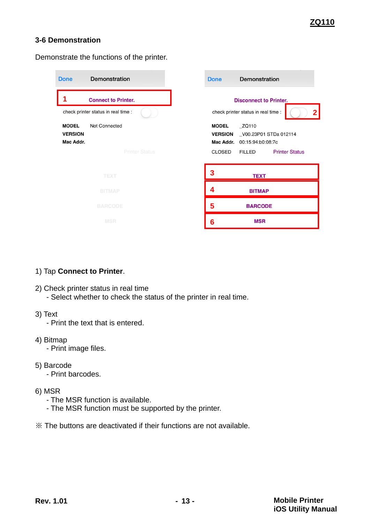#### <span id="page-12-0"></span>**3-6 Demonstration**

Demonstrate the functions of the printer.

| Demonstration<br><b>Done</b>                                 | Demonstration<br><b>Done</b>                                                                       |
|--------------------------------------------------------------|----------------------------------------------------------------------------------------------------|
| <b>Connect to Printer.</b>                                   | <b>Disconnect to Printer.</b>                                                                      |
| check printer status in real time :                          | check printer status in real time :                                                                |
| Not Connected<br><b>MODEL</b><br><b>VERSION</b><br>Mac Addr. | ZQ110<br><b>MODEL</b><br><b>VERSION</b><br>V00.23P01 STDa 012114<br>Mac Addr.<br>00:15:94:b0:08:7c |
| <b>Printer Status</b>                                        | <b>Printer Status</b><br>CLOSED<br>FILLED                                                          |
| <b>TEXT</b>                                                  | 3<br><b>TEXT</b>                                                                                   |
| <b>BITMAP</b>                                                | 4<br><b>BITMAP</b>                                                                                 |
| <b>BARCODE</b>                                               | 5<br><b>BARCODE</b>                                                                                |
| <b>MSR</b>                                                   | <b>MSR</b><br>6                                                                                    |

#### 1) Tap **Connect to Printer**.

- 2) Check printer status in real time
	- Select whether to check the status of the printer in real time.
- 3) Text
	- Print the text that is entered.
- 4) Bitmap
	- Print image files.
- 5) Barcode
	- Print barcodes.
- 6) MSR
	- The MSR function is available.
	- The MSR function must be supported by the printer.
- ※ The buttons are deactivated if their functions are not available.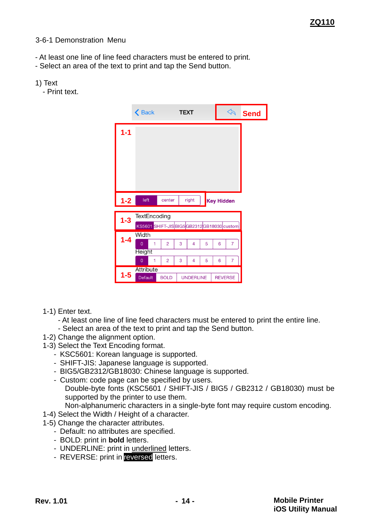#### <span id="page-13-0"></span>3-6-1 Demonstration Menu

- At least one line of line feed characters must be entered to print.
- Select an area of the text to print and tap the Send button.
- 1) Text
	- Print text.

|         | $\triangle$ Back                         |                | <b>TEXT</b> |                  |   |                   | $\mathbb{Z}$   | <b>Send</b> |
|---------|------------------------------------------|----------------|-------------|------------------|---|-------------------|----------------|-------------|
| $1 - 1$ |                                          |                |             |                  |   |                   |                |             |
|         |                                          |                |             |                  |   |                   |                |             |
|         |                                          |                |             |                  |   |                   |                |             |
|         |                                          |                |             |                  |   |                   |                |             |
|         |                                          |                |             |                  |   |                   |                |             |
| $1 - 2$ | left                                     | center         |             | right            |   | <b>Key Hidden</b> |                |             |
| $1-3$   | TextEncoding                             |                |             |                  |   |                   |                |             |
|         |                                          |                |             |                  |   |                   |                |             |
|         | KS5601 SHIFT-JISBIG5GB2312GB18030 custom |                |             |                  |   |                   |                |             |
|         | Width                                    |                |             |                  |   |                   |                |             |
| $1 - 4$ | 1<br>$\overline{0}$                      | $\overline{2}$ | 3           | 4                | 5 | 6                 | $\overline{7}$ |             |
|         | <b>Height</b>                            |                |             |                  |   |                   |                |             |
|         | $\overline{0}$<br>1                      | $\overline{2}$ | 3           | 4                | 5 | 6                 | $\overline{7}$ |             |
| $1-5$   | <b>Attribute</b><br><b>Default</b>       | <b>BOLD</b>    |             | <b>UNDERLINE</b> |   | <b>REVERSE</b>    |                |             |

- 1-1) Enter text.
	- At least one line of line feed characters must be entered to print the entire line.
	- Select an area of the text to print and tap the Send button.
- 1-2) Change the alignment option.
- 1-3) Select the Text Encoding format.
	- KSC5601: Korean language is supported.
	- SHIFT-JIS: Japanese language is supported.
	- BIG5/GB2312/GB18030: Chinese language is supported.
	- Custom: code page can be specified by users.

Double-byte fonts (KSC5601 / SHIFT-JIS / BIG5 / GB2312 / GB18030) must be supported by the printer to use them.

- Non-alphanumeric characters in a single-byte font may require custom encoding.
- 1-4) Select the Width / Height of a character.
- 1-5) Change the character attributes.
	- Default: no attributes are specified.
	- BOLD: print in **bold** letters.
	- UNDERLINE: print in underlined letters.
	- REVERSE: print in reversed letters.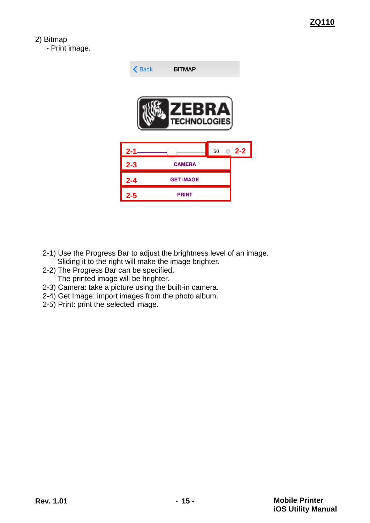2) Bitmap

- Print image.



- 2-1) Use the Progress Bar to adjust the brightness level of an image. Sliding it to the right will make the image brighter.
- 2-2) The Progress Bar can be specified. The printed image will be brighter.
- 2-3) Camera: take a picture using the built-in camera.
- 2-4) Get Image: import images from the photo album.
- 2-5) Print: print the selected image.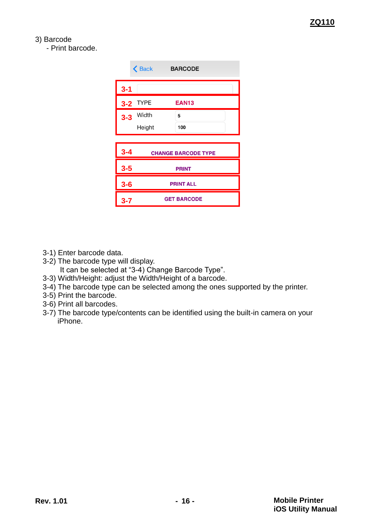#### 3) Barcode

- Print barcode.

|         | <b>く</b> Back | <b>BARCODE</b>             |
|---------|---------------|----------------------------|
| $3 - 1$ |               |                            |
| $3-2$   | <b>TYPE</b>   | <b>EAN13</b>               |
|         | $3-3$ Width   | 5                          |
|         | Height        | 100                        |
|         |               |                            |
|         |               |                            |
| $3 - 4$ |               | <b>CHANGE BARCODE TYPE</b> |
| $3-5$   |               | <b>PRINT</b>               |
| $3-6$   |               | <b>PRINT ALL</b>           |

- 3-1) Enter barcode data.
- 3-2) The barcode type will display.
	- It can be selected at "3-4) Change Barcode Type".
- 3-3) Width/Height: adjust the Width/Height of a barcode.
- 3-4) The barcode type can be selected among the ones supported by the printer.
- 3-5) Print the barcode.
- 3-6) Print all barcodes.
- 3-7) The barcode type/contents can be identified using the built-in camera on your iPhone.